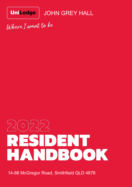

JOHN GREY HALL

Where I want to be

# 2022 RESIDENT HANDBOOK

14-88 McGregor Road, Smithfield QLD 4878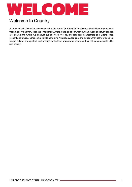

# Welcome to Country

At James Cook University, we acknowledge the Australian Aboriginal and Torres Strait Islander peoples of this nation. We acknowledge the Traditional Owners of the lands on which our campuses and study centres are located and where we conduct our business. We pay our respects to ancestors and Elders, past, present and future. JCU is committed to honouring Australian Aboriginal and Torres Strait Islander peoples' unique cultural and spiritual relationships to the land, waters and seas and their rich contribution to JCU and society.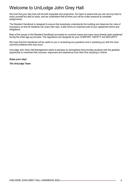# Welcome to UniLodge John Grey Hall

We trust that your stay here will be both enjoyable and productive. Our team is aware that you are not only here to enjoy yourself but also to study, and we understand that at times you will be under pressure to complete assignments.

The Resident Handbook is designed to ensure that everybody understands the building and observes the rules of occupancy so that all residents can enjoy their stay. It also forms an important part of your agreement terms and obligations.

Most of the issues in this Resident Handbook are based on common sense and many have already been explained during the initial sign-up process. The regulations are designed for your COMFORT, SAFETY and SECURITY.

We hope that this Handbook will be useful to you in answering any questions and in assisting you with the most common problems that may occur.

UniLodge John Grey Hall Management wants to develop an atmosphere that provides students with the greatest opportunity to maximise their success, enjoyment and experience from their time studying in Cairns.

*Enjoy your stay!*

*The UniLodge Team*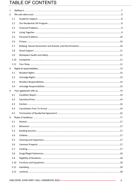# TABLE OF CONTENTS

| 1. |      |  |
|----|------|--|
| 2. |      |  |
|    | 2.1  |  |
|    | 2.2  |  |
|    | 2.3  |  |
|    | 2.4  |  |
|    | 2.5  |  |
|    | 2.6  |  |
|    | 2.7  |  |
|    | 2.8  |  |
|    | 2.9  |  |
|    | 2.10 |  |
|    | 2.11 |  |
| 3. |      |  |
|    | 3.1  |  |
|    | 3.2  |  |
|    | 3.3  |  |
|    | 3.4  |  |
| 4. |      |  |
|    | 4.1  |  |
|    | 4.2  |  |
|    | 4.3  |  |
|    | 4.4  |  |
|    | 4.5  |  |
| 5. |      |  |
|    | 5.1  |  |
|    | 5.2  |  |
|    | 5.3  |  |
|    | 5.4  |  |
|    | 5.5  |  |
|    | 5.6  |  |
|    | 5.7  |  |
|    | 5.8  |  |
|    | 5.9  |  |
|    | 5.10 |  |
|    | 5.11 |  |
|    | 5.12 |  |
|    |      |  |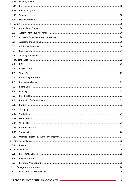|     | 5.13 |  |
|-----|------|--|
|     | 5.14 |  |
|     | 5.15 |  |
|     | 5.16 |  |
|     | 5.17 |  |
|     | 6.   |  |
|     | 6.1  |  |
|     | 6.2  |  |
|     | 6.3  |  |
|     | 6.4  |  |
|     | 6.5  |  |
|     | 6.6  |  |
|     | 6.7  |  |
| 7.  |      |  |
|     | 7.1  |  |
|     | 7.2  |  |
|     | 7.3  |  |
|     | 7.4  |  |
|     | 7.5  |  |
|     | 7.6  |  |
|     | 7.7  |  |
|     | 7.8  |  |
|     | 7.9  |  |
|     | 7.10 |  |
|     | 7.11 |  |
|     | 7.12 |  |
|     | 7.13 |  |
|     | 7.14 |  |
|     | 7.15 |  |
|     | 7.16 |  |
|     | 7.17 |  |
| 8.  |      |  |
|     | 8.1  |  |
| 9.  |      |  |
|     | 9.1  |  |
|     | 9.2  |  |
|     | 9.3  |  |
| 10. |      |  |
|     | 10.1 |  |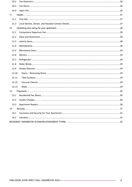| 10.2  |  |
|-------|--|
| 10.3  |  |
| 10.4  |  |
| 11.   |  |
| 11.1  |  |
| 11.2  |  |
| 12.   |  |
| 12.1  |  |
| 12.2  |  |
| 12.3  |  |
| 12.4  |  |
| 12.5  |  |
| 12.6  |  |
| 12.7  |  |
| 12.8  |  |
| 12.9  |  |
| 12.10 |  |
| 12.11 |  |
| 12.12 |  |
| 12.13 |  |
| 13.   |  |
| 13.1  |  |
|       |  |
| 13.3  |  |
| 14.   |  |
| 14.1  |  |
| 14.2  |  |
|       |  |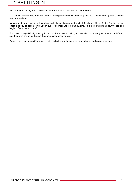# 1.SETTLING IN

Most students coming from overseas experience a certain amount of 'culture shock'.

The people, the weather, the food, and the buildings may be new and it may take you a little time to get used to your new surroundings.

Many new students, including Australian students, are living away from their family and friends for the first time so we encourage you to become involved in our Residential Life Program Events, so that you will make new friends and begin to feel more 'at home'.

If you are having difficulty settling in, our staff are here to help you! We also have many students from different countries who are going through the same experiences as you.

Please come and see us if only for a chat! UniLodge wants your stay to be a happy and prosperous one.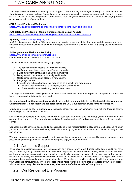# 2.WE CARE ABOUT YOU!

UniLodge strives to provide community based support. One of the big advantages of living in a community is that there is always someone to help. Do not keep your worries to yourself – the sooner we get on to them, the sooner we can help you to resolve the problem. Confidence is kept, and you can be assured of a sympathetic ear, regardless of the size or nature of your problem.

#### **JCU Student Equity and Wellbeing:**

<https://www.jcu.edu.au/learning-and-teaching/students/student-equity-and-wellbeing>

#### **JCU Safety and Wellbeing – Sexual Harassment and Sexual Assault:**

<https://www.jcu.edu.au/safety-and-wellbeing/sexual-harassment-and-sexual-assault>

#### **MySafety** - <https://jcu.mysafety.org.au/>

MySafety is a new website for JCU students who are worried about something that happened during sex, who are concerned about their relationship, or who are trying to help a friend. It's a safe, inclusive & completely anonymous space.

#### **UniLodge Student Health and Wellbeing:**

<https://www.unilodge.com.au/student-wellbeing> Cairns Sexual Assault Service – True 07 4031 3590

New residents often experience difficulty adjusting to:

- $\triangleright$  The transition from school to tertiary/university life
- $\triangleright$  A different education system and different demands
- $\triangleright$  Living away from home, and fending for themselves
- $\triangleright$  Being away from the support of family and friends
- $\triangleright$  Settling into city life, a new state or a new country
- $\triangleright$  Language barriers
- $\triangleright$  Life style and culture changes, this may come as a shock, and may include:
	- Finding their way around i.e. transport, clubs, churches etc.
	- Basic establishment tasks e.g. bank accounts etc.

UniLodge staff are here to assist you with all these issues and more. Feel free to pop into reception and we will be happy to give you the information you need.

#### **Anyone affected by illness, accident or death of a relative, should talk to the Residential Life Manager or General Manager. If necessary we can refer you to the JCU Counselling Service for further support.**

UniLodge is proud to offer a pastoral care network. When you join our community you will find there is always something to do and someone to talk to.

Our Residential Advisors might come and knock on your door with a bag of lollies or stop you in the hallway to find out about your weekend. They are always available for a chat and to offer advice and sometimes referrals to other services.

Connecting you to services, people and places is just one of the important roles to play here at UniLodge. So whether you want to connect with other residents, the local community or just want to know the best places to 'hang out' we can help you.

We want to assist you wherever possible to fit into your home away from home as quickly, safely and securely as possible so you can get on with the job of studying and enjoying your time here.

#### 2.1 Academic Support

If you have an academic problem, talk to us as soon as it arises – don't leave it until it is too late! Should you have any concerns regarding course and subject selection, preparation for examinations, dealing with tutors and lecturers, applying for special consideration due to sickness or family troubles - we can help to refer you to the relevant department or faculty that will be able to resolve any issues. As a resident you will experience differing levels of stress at various times, particularly around examination time. We are here to provide a climate in which you can maximise your academic achievements. If you are experiencing noise related problems that are affecting your study, please advise us immediately. **Residents must always be tolerant of other residents' study habits.**

### 2.2 Our Residential Life Program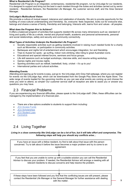#### **What is Residential Life Program?**

Residential Life Program is an integrated, contemporary, residential life program, run by UniLodge for our residents. It is designed to support and bring out the best in each resident through the duties and activities carried out by senior residents - Residential Advisors, the Residential Life Manager, the customer service staff, and the Area General Manager.

#### **UniLodge's Multicultural Vision**

We promote a culture of mutual respect, tolerance and celebration of diversity. We aim to provide opportunity for the building of cross-cultural understanding and friendship. So, everyone: feels respected, looks out for everyone else, belongs and shares a sense of family, friendship and belonging, Interacts with, learns from and values - all peoples.

#### **What does the Program Aim to Achieve?**

It offers a balanced program of activities that supports resident life across many dimensions such as: standard of living and quality of life as a whole, mental and physical health, academic and personal achievements, personal and social relationships, safety and security and community connectivity.

#### **What Types of Activities Underpin the Residential Life Program?**

- Socially responsible activities such as getting residents involved in raising much needed funds for a charity such as Movember, or participation in community activities.
- Barbeques and nights full of entertainment which encourages integration, fun and friendship.
- Trips to Aussie fun spots go surfing, indoor rock-climbing, bike riding to great Australian icons.
- Educational and special interest forums, seminars and focus groups.
- Life skill sessions such as budget workshops, interview skills, and resume writing workshop.
- Games nights and movies nights.
- Sporting activities such as netball, basketball, footy, cricket it's up to you!
- International parties and cultural activities.

#### **Attending Events**

Attending and signing up for events is easy, just go to the UniLodge John Grey Hall webpage, where you can register for events via the UniLodge App, which can be downloaded from the Google Play Store and the Apple Store. The wide range of events loaded for the upcoming months so you can see what events are coming up and choose the ones you wish to attend, so simple! Our customer service staff at reception are able to assist you or answer any questions you may have.

#### 2.3 Financial Problems

If you are experiencing any financial difficulties, please speak to the UniLodge staff. Often, these difficulties can be managed by the implementation of a financial plan.

- There are a few options available to students to support them including:
- **[JCU Access Funds](https://www.jcu.edu.au/scholarships-@-jcu/search/jcu-access-fund)**
- **[JCU Scholarships](https://www.jcu.edu.au/scholarships-@-jcu)**
- **[JCU Student Loan](https://www.jcu.edu.au/students/fees-and-financial-support/jcu-student-loan)**
- **[Centrelink](https://www.humanservices.gov.au/individuals/subjects/payments-students-and-trainees)**

## 2.4 Living Together

*Living in a close community like UniLodge can be a lot of fun, but it will take effort and compromise. The following steps will help you should any conflicts arise…*

| If you have an issue with a fellow resident, try first to talk about that issue with the person<br>concerned. Try to talk about it before the issue becomes a major problem and try to come to an<br>agreement.                                                                 |                                                                                                                                                                                                                             |   |
|---------------------------------------------------------------------------------------------------------------------------------------------------------------------------------------------------------------------------------------------------------------------------------|-----------------------------------------------------------------------------------------------------------------------------------------------------------------------------------------------------------------------------|---|
|                                                                                                                                                                                                                                                                                 |                                                                                                                                                                                                                             |   |
| If you feel that you are unable to come up with a suitable solution you can call the Residential<br>Advisor to discuss your problem. If needed, the Residential Advisor will arrange a meeting with all<br>relevant residents to discuss concerns and help resolve the problem. |                                                                                                                                                                                                                             |   |
|                                                                                                                                                                                                                                                                                 |                                                                                                                                                                                                                             |   |
|                                                                                                                                                                                                                                                                                 | If these steps have been followed and you find that the conflicting issues are still present, please<br>contact the Residential Life Manager or the General Manager for further assistance with dealing<br>with the matter. | Й |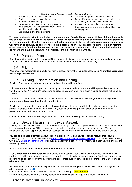#### *Tips for happy living in a multi-share apartment*

- Always do your fair share of cleaning
- Decide on a cleaning roster for the kitchen, bathroom and vacuuming
- Be aware of the noise you and any guests you have produce. This is a common courtesy which should extend to all residents.
- Don't leave dirty dishes overnight.
- Take out the garbage when the bin is full
- Decide if you are going to share the cooking, it's a great way to try new foods and cut costs
- Always store valuable items in your room
- Be considerate with your use of shared facilities and equipment.

**To assist residents living in multi-share apartments, our Residential Advisors will host flat meetings with you and your flatmates early in the semester which will result in the signing of a written flatmate agreement for the apartment to abide by. If you join a multi-share apartment who has already signed an agreement, you will have an opportunity to agree to the existing agreement or request another flat meeting. Flat meetings are compulsory for all multi-share apartments if any resident requests one. If all residents decide that they do not wish to have a meeting, then all residents must confirm this in writing.**

## 2.5 Personal Problems

Don't be afraid to confide in the appointed UniLodge staff to discuss any personal issues that are getting you down. They are here to support you, provide guidance, assistance and referral where necessary.

#### 2.6 Privacy

Your privacy is important to us. Should you wish to discuss any matter in private, please ask. **All matters discussed will be kept confidential.**

### 2.7 Bullying, Discrimination and Hazing

Bullying, Discrimination and any form of hazing is not tolerated in any form.

UniLodge is a friendly and supportive community, and it is expected that members will be pro-active in ensuring that it remains so. Anyone at UniLodge who engages in any form of bullying, discrimination or hazing will be asked to leave.

The Anti-Discrimination Act makes discrimination unlawful on the basis of a person's **gender, race, age, sexual preference, religion, political beliefs or activities.** 

Bullying involves repeated unreasonable behaviour that may victimise, humiliate, intimidate or threaten another person. Examples include: behaving aggressively, teasing or playing practical jokes on another person, or pressuring someone to behave inappropriately.

Contact your Residential Life Manager with any concerns about bullying, discrimination or hazing.

#### 2.8 Sexual Harassment, Sexual Assault

Unilodge JCU Halls of Residence are committed to fostering a safe and respectful college community, and we work in an integrated way with JCU to prevent, and respond to, sexual harassment and sexual assault. These behaviours are never appropriate within our college, within our university community, or in the broader society.

You can find detailed information about support available to you, and how to report any issues that occur at University or at JCU Halls of Residence at [https://www.jcu.edu.au/safety-and-wellbeing.](https://www.jcu.edu.au/safety-and-wellbeing) You can talk confidentially with a JCU [Sexual Misconduct Officer](https://www.jcu.edu.au/safety-and-wellbeing/sexual-harassment-and-sexual-assault/sexual-misconduct-officers) about any matter that is causing you concern, no matter how big or small the issue might seem.

As part of your residential contract, you are required to complete the:

*1. JCU Respect* **online module:** all students and staff at James Cook University are required to complete this module. It provides introductory content on recognising a problem (including basic consent/bystander behaviours), responding to disclosures by others, referring to appropriate support services, and reporting to the University and other agencies.

All students and staff are automatically enrolled into the module, and you will find it listed under the subjects tab after logging into LearnJCU.

• All residents must complete the online module before arriving to **[college name**].

• Returning residents who have already completed the module are not required to repeat the module.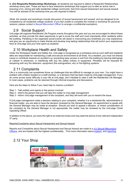*2.* **JCU Respectful Relationships Workshops:** all residents are required to attend a Respectful Relationships workshop every year. These are face to face interactive workshops that support you to take an active role in ensuring a fun, strong and safe residential college community, free from sexual harassment and sexual assault. You will be advised of the workshop time you are required to attend.

*(Note: the module and workshops include discussion of sexual harassment and assault, and are designed to be completed by all residential college students. If you feel unable to complete the module or workshop for personal reasons, please contact a Sexual Misconduct Officer to arrange a confidential exemption).*

### 2.9 Social Support

UniLodge will organise Residential Life Program events throughout the year and you are encouraged to attend these activities, as they provide the ideal opportunity to get to know the staff and most importantly other residents within the building. Partaking in the organised social events will assist in overcoming any loneliness you may experience, and give you an opportunity to make friends and develop long lasting relationships that will enrich your experiences here at UniLodge and your time spent as students.

## 2.10 Workplace Health and Safety

Under the Workplace Health and Safety Act, UniLodge is recognised as a workplace and as such staff and residents alike are responsible for maintaining a safe and secure environment at all times. As a resident, you must not directly cause or contribute towards an accident e.g. preventing easy access or exit from the building by leaving belongings or rubbish in entrances, or interfering with any fire safety notices or equipment. Penalties will be imposed for tampering with any fire detection, equipment (fire extinguishers, etc) or fire-fighting systems.

#### 2.11 Complaints

Life in a community can sometimes throw up challenges that are difficult to manage on your own. You might have a problem with a fellow resident or a staff member, or a decision that has been made by UniLodge management. If you do come across some difficulty in your life at UniLodge, don't hesitate to raise it with the Residential Life Manager. In most cases, problems can be resolved through informal enquiries and discussions.

Here are the steps to follow if you need help to resolve a problem:

- Step 1 Talk politely and openly to the person involved
- Step 2 Inform the person that you will take the matter to UniLodge management
- Step 3 Inform UniLodge management of the complaint, and they will work with you to resolve the issue.

If UniLodge management make a decision relating to your complaint, whether it is a residential life, administrative or financial matter, you are able to have the decision reviewed by the General Manager. An appointment to speak with the General Manager may be made at reception. Should you wish to appeal a decision, or where consideration of the complaint by the General Manager is not appropriate, the matter may be reviewed by the UniLodge Chrief Operating Officer.

In addition to the above, you have the right to an external review and may seek the advice of any relevant independent 3rd party.

#### Reports/Complaints about Sexual Harassment and Sexual Assault

Reports and Complaints about Sexual Harassment and Sexual Assault are made to a JCU [Sexual Misconduct](https://www.jcu.edu.au/safety-and-wellbeing/sexual-harassment-and-sexual-assault/sexual-misconduct-officers)  [Officers,](https://www.jcu.edu.au/safety-and-wellbeing/sexual-harassment-and-sexual-assault/sexual-misconduct-officers) and are treated with the highest confidentiality. Find more information about [support,](https://www.jcu.edu.au/safety-and-wellbeing/sexual-harassment-and-sexual-assault/finding-support) and [reporting.](https://www.jcu.edu.au/safety-and-wellbeing/sexual-harassment-and-sexual-assault/make-a-report)

# 2.12 Your Shop

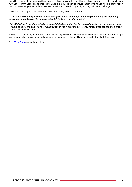As a UniLodge resident, you don't have to worry about bringing sheets, pillows, pots or pans, and electrical appliances with you - our UniLodge online shop, Your Shop is a fabulous way to ensure that everything you need is sitting ready and waiting when you arrive; items are available for purchase throughout your stay with us at UniLodge.

Here's what a couple of our current residents had to say about Your Shop:

#### *"I am satisfied with my product. It was very good value for money, and having everything already in my apartment when I moved in was a great relief." – Tom, UniLodge resident*

*"My All-In-One Essentials set will be so helpful when taking the big step of moving out of home to study. Thanks to this set I won't have to worry about shopping for the day to day things used around the home." Chloe, UniLodge Resident*

Offering a great variety of products, our prices are highly competitive and certainly comparable to High Street shops and supermarkets in Australia, and residents have compared the quality of our linen to that of a 5 Star Hotel!

Visit [Your Shop](http://unilodge.com.au/shop/) now and order today!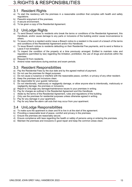#### 3.1 Resident Rights

- a) To start the residency with the premises in a reasonable condition that complies with health and safety regulations.
- b) Peaceful enjoyment of the premises.
- c) A secure environment.
- d) To be given a copy of the Residential Agreement.

## 3.2 UniLodge Rights

- a) To send Breach notices to residents who break the terms or conditions of the Residential Agreement, this Handbook, and/or cause damage to any parts or inclusions of the building and/or cause inconvenience to others.
- b) To issue a fine to a resident and/or issue a Breach notice to a resident in the event of a breach of the terms and conditions of the Residential Agreement and/or this Handbook.
- c) To issue Breach notices to residents defaulting on their Residential Fee payments, and to send a Notice to Leave if not remedied.
- d) To inspect the condition of the property at a time previously arranged. Entitled to maintain rules and regulations (permitted by law) regarding the limitation, prohibition, the use of drugs and alcohols within the premises.
- e) Request ID from residents.
- f) Amend noise restrictions during swotvac and exam periods.

## 3.3 Resident Responsibilities

- a) Pay the Residential Fees by the due date and by the agreed method of payment.
- b) Do not use the premises for illegal purposes.
- c) Do not cause a nuisance or interfere with the reasonable peace, comfort, or privacy of any other resident.
- d) Keep the premises and inclusions clean.
- e) Be responsible for your guests' behaviour.
- f) Do not intentionally, maliciously or negligently damage, or allow anyone else to intentionally, maliciously or negligently damage, the premises or inclusions.
- g) Report to UniLodge any damage/maintenance issues to your premises in writing.
- h) Pay for charges as outlined in the Residential Agreement and this Handbook.<br>i) Abide by the terms of the Residential Agreement, rules and regulations of the
- Abide by the terms of the Residential Agreement, rules and regulations of the building.
- j) Only use the premises for residential purposes unless otherwise agreed in writing.
- k) Pay for any damage in your apartment.
- l) Pay for any false fire alarm call outs that may occur from your apartment.

## 3.4 UniLodge Responsibilities

- a) To make sure the apartment is clean and fit to live in at the start of the agreement.
- b) Providing a reasonable level of peace, comfort and privacy in the premises.
- c) Ensure the premises are reasonably secure.
- d) Ensure compliance with laws regarding the health or safety of persons using or entering the premises.
- e) Maintain the premises and inclusions in good repair and keep the common areas clean.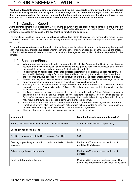# 4.YOUR AGREEMENT WITH US

**You have entered into a legally binding agreement and you are responsible for the payment of the Residential Fees under this agreement for the agreed term. UniLodge and JCU reserves the right to seek recovery of these monies should you fail to meet your legal obligations and your results may be withheld if you have a debt with JCU. We have the resources to recover monies owed to us outside of Australia.**

#### 4.1 Condition Report

At the commencement of your Residential Agreement, an Entry Condition Report will be completed and signed by both you the resident and a UniLodge representative. This Condition Report will be used at the end of the Residential Agreement to assess any damage to the apartment, its furniture and equipment.

The completed Condition Report must be **returned to the office within 48 hours** of you receiving the report. Failure to do so will result in the Condition Report forming the basis for any additional costs of repairs at the end of your agreement.

For **Multi-share Apartments**, an inspection of your living areas including kitchen and bathroom may be required each time a resident sharing your apartment moves in or departs. If any damages occur in these areas, the charges will be divided between all residents, unless the Staff and Management are notified of who is responsible for the damages.

#### 4.2 Sanctions/Fines

- a) Where a resident has been found in breach of the Residential Agreement or Resident Handbook, a resident may receive a sanction. Such sanctions are designed to hold residents accountable for their inappropriate behaviour and are imposed for their educative effect.
- b) In determining an appropriate sanction for a misconduct matter, the situation and each resident will be evaluated individually. Multiple factors will be considered, including the details of the current breach, the resident's previous conduct, history and attitude in arriving at the best sanction for that individual.
- c) The resident may receive either a fine, a breach, or both. An order for restitution for damage caused to or misappropriation of property and/or an alcohol ban may also be imposed.
- d) Attending the JCU Respectful Relationships workshop is mandatory (unless you have a confidential exemption from a Sexual Misconduct Officer). Non-attendance can result in termination of the residential agreement.
- e) If a fine is imposed, the total amount must be paid to UniLodge within 7 days. Failure to comply is constituted as being a serious breach of the Resident Handbook, loss of privileges/use of facilities/services or more severe penalties will apply. Additionally, failure to pay a fine within 7 days may result in the swipe card access expiring until the fee is paid in full.
- f) Please note, where a resident has been found in breach of the Residential Agreement or Resident Handbook, they may also receive a breach notice which will be recorded on their file. Three breaches of the same nature may result in termination of the Residential Agreement.
- g) The fines that may be applied for misconduct matters are outlined below:

| Misconduct:                                                                                                                                 | Sanction/Fine (plus community service):                                  |  |
|---------------------------------------------------------------------------------------------------------------------------------------------|--------------------------------------------------------------------------|--|
| Burning of incense, candles or other flammable substance                                                                                    | \$25 and/or confiscation (if applicable)                                 |  |
| Cooking in non-cooking areas                                                                                                                | \$30                                                                     |  |
| Smoking upon any part of the UniLodge John Grey Hall                                                                                        | \$50                                                                     |  |
| Creating or permitting noise which disturbs or is likely to disturb<br>residents                                                            | Maximum \$70 and/or loss or restriction of<br>privileges (if applicable) |  |
| Failure to sign in overnight guests                                                                                                         | Maximum \$50 and/or loss or restriction of<br>privileges                 |  |
| Maximum \$50 and/or imposition of alcohol ban<br>Drunk and disorderly behaviour<br>and/or loss or restriction of privileges (if applicable) |                                                                          |  |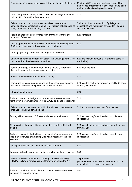| Possession of, or consuming alcohol, if under the age of 18 years                                                                                                          | Maximum \$50 and/or imposition of alcohol ban,<br>and/or loss or restriction of privileges (if applicable)<br>and/or confiscation/disposal of alcohol |  |
|----------------------------------------------------------------------------------------------------------------------------------------------------------------------------|-------------------------------------------------------------------------------------------------------------------------------------------------------|--|
| Consuming alcohol in any public part of the UniLodge John Grey<br>Hall outside of permitted hours and areas                                                                | \$20                                                                                                                                                  |  |
| Failure to return communal areas to a clean, reasonable<br>condition after use including food spills or rubbish not disposed of<br>in any common areas including corridors | \$30 and/or loss or restriction of privileges (if<br>applicable) and restritution payable for cleaning<br>cost if applicable                          |  |
| Failure to attend compulsory induction or training without prior<br>approval of absence                                                                                    | \$20 per failure                                                                                                                                      |  |
| Calling upon a Residential Advisor or staff between midnight and<br>\$10<br>8.00am for a lock-out, or having 3 or more lockouts                                            |                                                                                                                                                       |  |
| Littering upon any part of the UniLodge John Grey Hall                                                                                                                     | \$20                                                                                                                                                  |  |
| Urinating or vomiting on/from any part of the UniLodge John Grey<br>Hall other than the designated amenities                                                               | \$20 and resitution payable for cleaning costs (if<br>applicable)                                                                                     |  |
| Failure to arrange a flatmate meeting at a mutually agreeable<br>time with housemates by week 3 of semester                                                                | \$20 each resident                                                                                                                                    |  |
| Failure to attend confirmed flatmate meeting                                                                                                                               | \$20                                                                                                                                                  |  |
| Tampering with any fire equipment, lighting, movement sensors,<br>hard-wired electrical equipment, TV cables or similar                                                    | \$70 plus the cost to any repairs to rectify damage<br>caused, plus breach                                                                            |  |
|                                                                                                                                                                            | \$20                                                                                                                                                  |  |
| Obstructing a fire door                                                                                                                                                    |                                                                                                                                                       |  |
| Failure to inform UniLodge if you are away for more than one<br>night (even more important now with COVID and snap lockdowns)                                              | \$20                                                                                                                                                  |  |
| Failure to return the share car within the allocated booking time<br>or failure to show up for a booking                                                                   | \$20 and warning or total ban from car use                                                                                                            |  |
| Driving without required 'P' Plates while using the share car                                                                                                              | \$20 plus warning/breach and/or possible legal<br>implications                                                                                        |  |
| Returning the share car dirty inside/outside or with rubbish left<br>behind                                                                                                | \$20 plus cleaning costs and warning or total ban<br>from car use                                                                                     |  |
| Failure to evacuate the building in the event of an emergency in<br>less than 4 minutes or not complying with directions of the Fire<br>Warden                             | \$20 plus warning/breach and/or possible legal<br>implications                                                                                        |  |
| Giving your access card to the possession of others                                                                                                                        | \$20                                                                                                                                                  |  |
| Losing or failing to return car parking permit (except upon expiry)                                                                                                        | \$50                                                                                                                                                  |  |
| Failure to attend a Residential Life Program event following<br>RSVP or failure to remove yourself from the event on the APP                                               | \$5 per event<br>(Please note that you will not be reimbursed for<br>events that you have already paid for)                                           |  |

I

J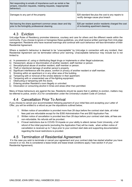| Not responding to emails of importance such as rental or fee<br>arrears, induction requests, meeting requests, inappropriate<br>behaviour) | \$10                                                                                    |
|--------------------------------------------------------------------------------------------------------------------------------------------|-----------------------------------------------------------------------------------------|
| Damages to any part of the property                                                                                                        | \$20 standard fee plus the cost to any repairs to<br>rectify damage cause plus breach   |
| Not leaving the share apartment common areas clean and tidy<br>prior to the fortnightly professional cleaning                              | \$20 per resident and/or residents charged the cost<br>of re-booking apartment cleaning |

#### 4.3 Eviction

UniLodge Rules of Residency promotes tolerance, courtesy and care for others and the different needs within the community. If you choose to ignore or transgress these guidelines, you shall receive written warnings from UniLodge management. Residents who have received warnings and continue with such behaviour will face termination of their Residential Agreement.

Where a resident's behaviour is deemed to be "unacceptable" by UniLodge in connection with any incident, their Residential Agreement can be terminated without prior warning. Unacceptable behaviour may include but is not limited to:

- a) In possession of, using or distributing illegal drugs or implements or other illegal substances.
- b) Harassment, abuse or discrimination of another resident, staff member or person.<br>c) Sexual/physical abuse of another resident, staff member or person.
- Sexual/physical abuse of another resident, staff member or person.
- 
- d) Theft or intentional damage of another person's property. Significant interference with the peace, comfort or privacy of another resident or staff member.
- f) Smoking within an apartment or in any other area of the building.
- g) Tampering with or removal of the smoke detector in their apartment.<br>h) Tampering with or unwarranted use of fire-fighting equipment.
- Tampering with or unwarranted use of fire-fighting equipment.
- i) Obstructing or tampering with fire doors.
- j) Entering another Resident's room illegally or uninvited.
- k) Intoxication or consuming alcohol in times and areas other than permitted.

Many of these behaviours are against the law. Residents should be aware that in addition to eviction, matters may be referred to police, and/or JCU for consideration under the University's student Code of Conduct.

## 4.4 Cancellation Prior To Arrival

If you choose to cancel your accommodation following payment of your initial fees and accepting your Letter of Offer, you will be entitled to a refund as per the stipulations outlined below;

- 1. Written notice of cancellation is provided more than 28 days before the contract start date, all initial fees paid are refundable except for the \$350 Administration Fee and \$55 Application Fee.
- 2. Written notice of cancellation is provided less than 28 days before your contract start date, all fees are non-refundable. No refunds will be provided.
- 3. If travel restrictions due to COVID-19 impede on your ability to attend James Cook University, a full refund of the initial payments (excluding the Application Fee) will be made, when written notice of cancellation is received up to 7 days prior to your contract start date and supporting documentation regarding the travel restrictions is provided.

### 4.5 Termination of Residential Agreement

If in the case you wish to terminate or cancel your agreement and your contract date has started whether you have moved in or not, this is considered a lease break and lease break conditions apply (\*see section 4 of your Residential Agreement).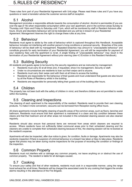# 5.RULES OF RESIDENCY

These rules form part of your Residential Agreement with UniLodge. Please read these rules and if you have any questions or need a translator advise the customer service staff at reception.

#### 5.1 Alcohol

Management promotes a responsible attitude towards the consumption of alcohol. Alcohol is permissible (if you are over the age of 18) when responsible consumption within your own apartment, and in the common areas Sunday to Thursday until 10pm and Friday to Saturday until 11pm, which will be monitored by staff or Resident Advisors after hours. Drunk and disorderly behaviour will not be tolerated and you will be in breach of your Residential Agreement. Management reserves the right to change these rules at any time.

#### 5.2 Behaviour

Residents must agree to abide by the code of behaviour which is captured throughout this Handbook. Acceptable behaviour includes not interfering with another person's living conditions or personal security. Breaches of the code of behaviour will be dealt with by management. Repeated breaches may amount to "unacceptable behaviour" and constitute grounds for early termination of your Residential Agreement; you will still be responsible for payment of your residency fees until the apartment is re-let. A single finding of "unacceptable behaviour" may result in the termination of your Residential Agreement without prior warning (see 4.3 Eviction in this Resident Handbook).

#### 5.3 Building Security

All residents and guests agree to be bound by the security regulations and as instructed by management.

- Residents must carry ID at all times and, if requested, show it to management, Security or staff.
- Under no circumstances are residents to loan out their swipe card to anyone.
- Residents must carry their swipe card with them at all times to access the building.
- Residents are responsible for the behaviour of their guests and must understand that guests are also bound by all the Rules of Residency whilst in the building.
- Residents are responsible for personally letting their guests out of the building after hours.

### 5.4 Children

The property has not been built with the safety of children in mind, and therefore children are not permitted to reside within the building.

### 5.5 Cleaning and Inspections

The cleaning of each apartment is the responsibility of the resident. Residents need to provide their own cleaning products. To make it more convenient, vacuums can be borrowed from Reception during office hours.

All share apartments include fortnightly cleaning of specific areas of the common areas, such as floors, benches and bathroom. Residents must ensure that their apartment is maintained in a clean and tidy condition between these cleans and that their bedroom and all other areas not included in this scheduled cleaning session are also cleaned regularly.

Residents should also ensure that personal items are removed from areas which cleaners are required to access. Where residents have not sufficiently tidied communal areas prior to their scheduled cleaning and the cleaners are unable to complete their scheduled cleaning because of this, the cleaning session will be re-booked at the resident's expense.

Apartments will also be inspected, after due notice is given, for condition, faults or damage. Apartments may also be randomly inspection if there is suspicion of criminal behaviour or a breach has taken or likey to take place. Residents agree that photos may be taken during routine inspections for the purpose of recording the condition or findings of the inspection.

### 5.6 Common Property

Residents must not interfere with or damage any common property, nor leave anything on or obstruct the use of common property. The resident is liable for all damages caused.

### 5.7 Cooking

To ensure your safety and that of other residents, residents must cook in a responsible manner, using the range hood exhaust fan at all times. Residents will be charged the associated costs for any cooking that triggers the smoke alarms resulting in the attendance of the Fire Brigade.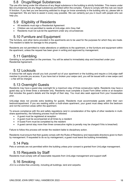#### 5.8 Drugs/Illegal Substances

The use of/or being under the influence of any illegal substance in the building is strictly forbidden. This means under NO circumstances are any illegal substances permitted within the complex. Failure to comply with this rule can result in eviction. If you feel you are becoming addicted to drugs (or know somebody in the building who is), please talk to management. We are here to assist in every way possible. We can certainly put you in touch with people who can help you.

#### 5.9 Eligibility of Residents

- All residents must sign a Residential Agreement
- Children are not permitted to reside at UniLodge John Grey Hall
- Residents must not sub-let the apartment under any circumstances

### 5.10 Furniture and Equipment

The furniture, and other items provided in the apartments are to be used for the purposes for which they are made. The resident is liable for damage to this property.

Residents are not permitted to make alterations or additions to the apartment, or the furniture and equipment within the apartment, unless the request has been given in writing and approved by management.

#### 5.11 Gambling

Gambling is not permitted on the premises. You will be asked to immediately stop and breached under your Residential Agreement.

#### 5.12 Lockouts

A lockout fee will apply should you lock yourself out of your apartment or the building and require a UniLodge staff member to provide you access. If you have lost or broken your swipe card, you will be issued with a new swipe card – a fee will be charged.

#### 5.13 Overnight Guests

Residents may have a guest stay overnight for a maximum stay of three consecutive nights. Residents may have a guest stay up to three times a semester only. Residents must complete a Guest Form either online or at reception that includes the guest's details and the length of their stay. You must also seek approval from your housemates prior.

UniLodge does not provide extra bedding for guests. Residents must accommodate guests within their own bedroom/apartment. If you are residing within a multi-share apartment, your guest must sleep within the bedroom and not the common areas within the apartment.

To ensure compliance with fire and safety regulations (and in consideration of the rights of other residents in multishare apartments), the following process must be followed:

- A guest must be registered at reception
- A guest must be accompanied at all times by a resident
- A Guest Form must be completed by the resident
- A guest cannot stay more than three consecutive nights (a penalty may be charged if this is breached)

Failure to follow this process will render the resident liable to disciplinary action.

Residents must ensure that their guests comply with the Rules of Residency and reasonable directions given to them by management. If requested to do so by management, a guest must leave the building immediately.

#### 5.14 Pets

Pets or animals are not permitted within the building unless prior consent is granted from UniLodge management.

#### 5.15 Requests by Staff

Residents must comply with all reasonable requests from UniLodge management and support staff.

#### 5.16 Smoking

JCU is a smoke-free university, including all buildings, land and carparks.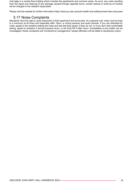UniLodge is a smoke-free building which includes the apartments and common areas. As such, any costs resulting from the repair and cleaning of any damage caused through cigarette burns, smoke residue or build-up of nicotine will be charged to the resident responsible.

Please visit this website for further information<https://www.jcu.edu.au/work-health-and-safety/smoke-free-campuses>

## 5.17 Noise Complaints

Residents have the right to quiet enjoyment of their apartment and surrounds. As a general rule, noise must be kept to a minimum at all times and especially after 10pm, or during swotvac and exam periods. If you are disturbed by noise, speak to the resident making the noise and ask that they desist. If they do not, or if you don't feel comfortable asking, speak to reception if during business hours, or the Duty RA if after hours, immediately so the matter can be investigated. Noise complaints are monitored by management; repeat offenders will be liable to disciplinary action.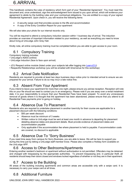# 6.ARRIVAL

This handbook contains the rules of residency which form part of your 'Residential Agreement'. You must read this document and, once understood, sign the acknowledgment form issued to you upon arrival, which will evidence your agreement to abide by the building rules and your contractual obligations. You are entitled to a copy of your signed Residential Agreement. Upon check in, you will receive the following items:

- A security swipe card that provides access to the lifts and accommodation
- A copy of the Entry Condition Report for your apartment

We will also take your photo for our internal records only.

You will be required to attend a compulsory induction session within 1 business day of arrival. The induction provides an overview of important information related to your residency, as well as everything you need to know about living at UniLodge John Grey Hall.

Kindly note, all online compulsory training must be completed before you are able to gain access to your room.

## 6.1 Compulsory Training

Compulsory training includes:

• UniLodge's ADES (online)

- UniLodge Induction (face to face upon arrival)
- JCU Respect online module (listed under your subjects tab after logging into [LearnJCU\)](https://learn.jcu.edu.au/ultra/institution-page)
- Respectful Relationships workshop (you will be emailed with time/venue for this workshop)

### 6.2 Arrival Date Notification

Residents are required to provide at least two days business days notice prior to intended arrival to ensure we are prepared for your arrival. Failure to do so may incur a late notice fine.

### 6.3 Absent From Your Apartment

If you intend to leave your apartment for more than one night, please ensure you advise reception. Reception will note this on your file should we need to contact you in an emergency. Please note if you are away over a rental instalment date, it is your responsibility to ensure that your Residential Fees have been prepaid. To avoid any unnecessary removal of goods where it is thought that the apartment has been abandoned, please ensure that you attend to all Residential Fees payments prior to going on holiday.

### 6.4 Absence Due To Placement

Residents who are required to undertake placement in another town/city for their course are applicable for a placement discount with the following conditions:

- \$50 per week discount
- Absence must be minimum of 3 weeks
- Written notice to UniLodge must be sent at least one month in advance to departing for placement detailing absence dates and placement details. Must provide evidence of placement dates and accommodation payable
- Only applicable if the accommodation fee where placement is held is payable. If accommodation costs are covered, no discount is applicable

### 6.5 Absence Due To "Sorry Business"

If you need time away from campus for Sorry Business, you are able to leave. We will be here to support you during this time just by letting a UniLodge staff member know. Please also complete a Holiday form available on the UniLodge APP.

### 6.6 Access to Other Bedrooms/Apartments

Entering another resident's bedroom or apartment without authorisation is not permitted. Offenders may be detained and charged with trespassing by the appropriate authorities. To prevent trespassing and, in particular theft, all residents should keep their doors closed and windows locked regardless of whether or not they are in their apartment.

#### 6.7 Access to the Building

All areas of the building including apartments and common areas are accessible only with a swipe card. It is necessary to carry your swipe card at all times.

## 6.8 Additional Furniture

UNILODGE JOHN GREY HALL HANDBOOK 2022 20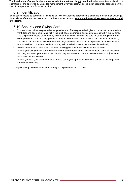**The installation of other furniture into a resident's apartment is not permitted unless** a written application is submitted to, and approved by UniLodge management. Every request will be looked at separately depending on the size of the apartment and furniture required.

#### 6.9 Identification

Identification should be carried at all times as it allows UniLodge to determine if a person is a resident at UniLodge. It also allows after-hours access should you lose your swipe card. **You should always keep your swipe card and ID separate.**

#### 6.10 Security and Swipe Card

- You are issued with a swipe card when you check in. The swipe card will give you access to your apartment front door and bedroom if living within the multi-share apartments and common areas within the building.
- The swipe card should be carried by residents at all times. Your swipe card must not be given to any other person and staff find any person in unauthorised possession of a swipe card that is not their own, that swipe card will be confiscated. Furthermore, if any such person found in possession of a swipe card is not a resident or an authorised visitor, they will be asked to leave the premises immediately.
- Please remember to close your door when leaving your apartment to ensure it is secured.
- Should you lock yourself out of your apartment and/or room during business hours come to reception and they will assist you. After hours call the Duty RA on 0409 333 208. Please note that a \$10 fee is applicable in this instance.
- Should you lose your swipe card or be locked out of your apartment, you must contact a UniLodge staff member immediately.

The charge for a replacement of a lost or damaged swipe card is \$30.00 each.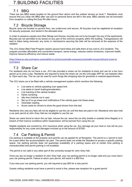# 7.BUILDING FACILITIES

## 7.1 BBQ

There are two BBQ areas located on the ground floor atrium and the outdoor terrace on level 7. Residents must ensure that you clean the BBQ after use and no personal items are left in the area. BBQ utensils can be borrowed from reception or calling the Duty RA after hours.

## 7.2 Bicycle Storage

Bicycle racks are located on ground floor, are undercover and secure. All bicycles must be registered at reception for security purposes, and stored in the allocated area.

In order to preserve carpets and other fittings and fixtures, bicycles are not to be brought into any of the apartments. Bicycles are not permitted to be stored on any part of the common property within the building. Transgressions will lead to bikes being removed; any locks or mechanisms securing the bike will be removed at the expense of the resident.

The JCU Green Bike Fleet Program repairs second hand bikes and sells them at low cost to JCU students. The program provides affordable and convenient transport, saves energy, reduces carbon emissions, improves health, improve resource efficiency and reduce waste.

[https://www.jcu.edu.au/tropeco-sustainability-in-action/sustainable-campuses/sustainable-transport/bicycle-travel-at](https://www.jcu.edu.au/tropeco-sustainability-in-action/sustainable-campuses/sustainable-transport/bicycle-travel-at-jcu/tropeco)[jcu/tropeco](https://www.jcu.edu.au/tropeco-sustainability-in-action/sustainable-campuses/sustainable-transport/bicycle-travel-at-jcu/tropeco)

## 7.3 Share Car

For residents who do not have a car, JCU has provided a share car for residents to book and use for a two hour period up to once a day. Residents are required to book the share car via the UniLodge APP for use between 9am to 10pm each day. The car can be used for such things like shopping trips for groceries or medical appointments.

The JCU share car is be fitted with a vehicle management system which monitors the following:

- Live alerts to vehicle speeding over speed limit
- Live alerts to harsh braking/acceleration
- Live tracking of the vehicle location
- Harsh cornering
- Idle time (Vehicle not in use)
- Set up of no go areas and notifications if the vehicle goes into these areas
- Odometer reading
- Score cards for drivers to show the good drivers from the bad

Residents who owe any fees will not be eligible to use the car until the fees are paid in full. Residents who also hold a car park permit at John Grey Hall are not eligible to use the car.

Share car users found to return the car late, misuse the car, leave the car dirty (inside or outside) drive illegally or in breach of their licence conditions within Queensland, will be banned from using the car.

Eligible residents are covered by JCU insurance while using the car. Any damage (at your fault or not) will be your responsibility for any costs and damages involved up to the amount of \$1000.

### 7.4 Car Parking & Permit

Car parking is available at the property and permits can be applied for at Reception. The permit is a 'permit to look' for a park within the accommodation car park. The permit does not entitle the Resident to access a specific parking space. Car parking permits does not guarantee availability of a parking space and at certain time parking is oversubscribed and permit parking is not available.

The permit is not valid in any other part of the university except for John Grey Hall.

Once you are no longer a resident of John Grey Hall, your car parking permit is no longer valid and you must return your car parking permit. Failure to return your permit, will result in a \$50 fine.

If you lose your car parking permit, you will required to pay \$50 for a new permit.

Guests visiting residents must have a permit to avoid a fine, please see reception for a guest permit.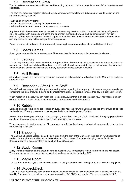## 7.5 Recreational Area

The recreational area contains a kitchen and bar dining table and chairs, a large flat screen TV, a table tennis and pool table.

The common areas are regularly cleaned by cleaners however the cleaner's duties do not include tasks that are your responsibility such as:

- Washing up your dirty dishes
- Removing rubbish and placing it in the rubbish bins
- Wiping down the bench tops and sink area from your mess

Any items left in the common area kitchen will be thrown away into the rubbish. Items left within the refrigerator must be labelled with the resident's name and apartment number; otherwise it will be thrown away. Any sink blocked by food must be reported to a UniLodge staff member. Residents must ensure to leave the kitchen clean and tidy otherwise they will be charged for cleaning costs.

Please show consideration to other residents by ensuring these areas are kept clean and tidy at all times.

#### 7.6 Board Games

Board games are available for resident use. They are stored in the cupboards in the recreational room.

#### 7.7 Laundry

The laundry is open 24/7 and is located on the ground floor. There are washing machines and dryers available for resident use, which are debit/credit card operated. For effective cleaning and drying, do not overload the machines. If you encounter any difficulties with the laundry equipment please contact reception.

#### 7.8 Mail Boxes

All mail and parcels are received by reception and can be collected during office hours only. Mail will be sorted in surname order.

#### 7.9 Reception / After-Hours Staff

Our staff will not only assist with questions and queries regarding the property, but have a range of knowledge concerning the local area, food, travel and general information. Reception hours are Monday to Friday 9am to 5pm.

When reception is closed, you can reach the Residential Advisor that is on call to assist you. Their mobile number 0409 333 208 and is also listed in at the reception front window and inside the lifts.

#### 7.10 Rubbish

Garbage bins and recycle bins are located on every floor near the lift where you can dispose of your rubbish except the level 4 red lift lobby however you can access the bins on level 4 yellow lift lobby.

Please do not leave your rubbish in the hallways, you will be in breach of this Handbook. Emptying your rubbish should be done on a regular basis to avoid pests inhabiting our premises.

There is a separate bin for recycling. Please ensure you follow the signage and only place recyclable items within the recycling in this bin.

#### 7.11 Shopping

The Campus Shopping Village, located 400 metres from the start of the University, includes an IGA Supermarket, medical centre, pharmacy, video store, bottle shop and food outlets. The larger shopping centre Smithfield Shopping Centre is approximately 1km south of the JCU campus.

#### 7.12 Study Rooms

Study rooms are located on the ground floor and available 24/7 for residents to use. The rooms have wifi access. The study rooms can be booked for private study and exams via the UniLodge APP.

#### 7.13 Media Room

The property features a great media room located on the ground floor with seating for your comfort and enjoyment.

#### 7.14 SkydeckDeck

There is a great observatory deck and recreational space available for resident use on level 7, accessible from the blue lift. The space has an indoor and outdoor area with a TV, BBQ's and seating. The area is available 24/7,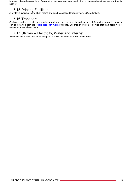however, please be conscious of noise after 10pm on weeknights and 11pm on weekends as there are apartments near by.

## 7.15 Printing Facilities

A printer is available in the study rooms and can be accessed through your JCU credentials.

#### 7.16 Transport

Sunbus provides a regular bus service to and from the campus, city and suburbs. Information on public transport can be obtained from the [Public Transport Cairns](https://translink.com.au/cairns) website. Our friendly customer service staff can assist you to navigate the website or the app.

#### 7.17 Utilities – Electricity, Water and Internet

Electricity, water and internet consumption are all included in your Residential Fees.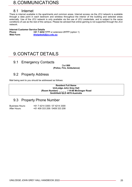# 8.COMMUNICATIONS

#### 8.1 Internet

There is internet available in the apartments and common areas. Internet access via the JCU network is available through a data point in each bedroom and wireless throughout the interior of the building and selected areas externally. Use of the JCU network is only available via the use of JCU credentials, and is subject to the same conditions of use as the rest of the campus. Please be advised that online gaming is not supported through the JCU network.

# **Internet Customer Service Details**

**Phone +61 7 4232 1777** or extension 21777 (option 1)<br> **Web Form ithelpdesk@icu.edu.au Web Form [ithelpdesk@jcu.edu.au](mailto:ithelpdesk@jcu.edu.au)**

# 9.CONTACT DETAILS

#### 9.1 Emergency Contacts

Dial **000 (Police, Fire, Ambulance)**

#### 9.2 Property Address

Mail being sent to you should be addressed as follows:

**Resident Full Name UniLodge John Grey Hall (Room Number) \_ \_ \_ \_ / 14-88 McGregor Road Smithfield QLD 4878 Australia**

#### 9.3 Property Phone Number

Business Hours: +61 7 4214 3300 / 07 4214 3300 +61 409 333 208 / 0409 333 208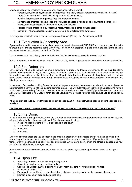# 10. EMERGENCY PROCEDURES

UniLodge will provide residents with emergency assistance in the event of:

- Personal, physical or psychological emergencies (e.g. theft, assault, harassment, vandalism, lost and found items, accidental or self-inflicted injury or medical condition)
- Building infrastructure emergencies (e.g. fire or storm damage)
- Maintenance emergencies (e.g. loss of power, loss of heating, flooding due to plumbing blockages or breaks, malfunctioning locks, damage to doors or windows)
- Residency rule breaches (e.g. excessive noise, trespassing, other disturbances)
- Lockouts where a resident locks themselves out or misplaces their swipe card

In emergency, residents should contact Emergency Services (Police, Fire, Ambulance) on 000

#### 10.1 Evacuation & Assembly Area

If you are instructed to evacuate the building, make your way to the nearest **FIRE EXIT** and continue down the stairs to ground level. Please assemble at the Emergency Assembly Area located in grass area of the front of the building and await further instructions from the Fire Warden.

You must evacuate the building in under 4 minutes. Failure to do so may result in a breach or fine.

Before re-entering the building please wait until instructed by the fire department that it is safe to re-enter the building.

#### 10.2 Fire Detectors

Never cover or attempt to remove the smoke detector in your room as these are connected to the main fire alarm system and these actions may cause a system fault and or a false alarm. In the event of a false alarm that is caused by interference with a smoke detector, the Fire Brigade has it within its powers to levy fines and commence prosecutions (current fines exceed \$3,000). You may also be responsible for the cost of repairs to the system that this damage may cause.

In the event of excessive cooking fumes (but no fire) in your apartment that cause your alarm to activate please do not attempt to clear these into the building common areas. This will automatically call the Fire Brigade who have it within their powers to levy fines for "Unwanted Alarms (currently in excess of \$3,000)" plus fire service contractors attendance. **DO NOT OPEN YOUR MAIN DOOR UNLESS YOU NEED TO EXIT THE BUILDING IN CASE OF A FIRE.**

**\*\*False alarm callouts by Fire Brigade currently exceed \$3,000. This cost will be passed on to the responsible resident.**

#### *DO NOT TOUCH OR TEMPER WITH THE SMOKE DETECTORS OTHERWISE YOU MAY BE CHARGED*

#### 10.3 Fire Doors

In the 6 bedroom share apartments, there are a numbe of fire doors inside the apartments that will be activated and released when the fire alarms are activated. The fire doors are located:

- 1. In the living room where the TV is positioned in the cavity
- 2. The kitchen door
- 3. Back door
- 4. Front door

Under no circumstances are you to obstruct the area that these doors are located or place anything next to them where they will not allow them to shut properly and freely when an alarm is activated. If you attempt to obstruct or tamper with the doors and their ability to close automatically, you may place yourself and others in danger, and you may also be liable for any damages caused.

After a fire alarm activation has stopped, the doors can be opened again and magnetised to their correct open position.

## 10.4 Upon Fire

- Assist any person in immediate danger only if safe.
- Close doors to stop oxygen fuelling the fire.
- Call the Fire Brigade (000). If calling from your room dial zero (0) for an outside line first.
- Attack fire if safe to do so.
- Evacuate to assembly area using the stairs, assist anyone who may be unable to assist themselves.
- Remain at assembly area and await roll call.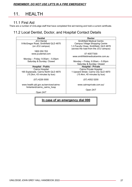#### *REMEMBER: DO NOT USE LIFTS IN A FIRE EMERGENCY*

# 11. HEALTH

#### 11.1 First Aid

There are a number of UniLodge staff that have completed first aid training and hold a current certificate.

## 11.2 Local Dentist, Doctor, and Hospital Contact Details

| <b>Dentist</b>                         | <b>Doctor</b>                           |  |
|----------------------------------------|-----------------------------------------|--|
| <b>JCU Dental</b>                      | <b>Smithfield Medical Centre</b>        |  |
| 9 McGregor Road, Smithfield QLD 4870   | <b>Campus Village Shopping Centre</b>   |  |
| (on JCU campus)                        | 1-3 Faculty Close, Smithfield, QLD 4878 |  |
|                                        | (across the road from the JCU campus)   |  |
| 1800 050 763                           |                                         |  |
| www.jcudental.com                      | 07 40577300                             |  |
|                                        | www.smithfieldmedicalcentre.com.au      |  |
| Monday - Friday: $9.00$ am - $5.00$ pm |                                         |  |
| Saturday & Sunday: Closed              | Monday – Friday: $8.00$ am – $5.00$ pm  |  |
|                                        | Saturday & Sunday: Closed               |  |
| <b>Hospital - Public</b>               | <b>Hospital - Private</b>               |  |
| Cairns Hospital                        | Cairns Private Hospital                 |  |
| 165 Esplanade, Cairns North QLD 4870   | 1 Upward Street, Cairns City QLD 4870   |  |
| (15.2km, 43 minutes by bus)            | (15.4km, 40 minutes by bus)             |  |
|                                        |                                         |  |
| $(07)$ 4226 0000                       | (07) 4052 5200                          |  |
|                                        |                                         |  |
| www.health.qld.gov.au/services/cairns- | www.cairnsprivate.com.au/               |  |
| hinterland/cairns_cairns_hosp          |                                         |  |
|                                        | Open 24/7                               |  |
| Open 24/7                              |                                         |  |
|                                        |                                         |  |

## **In case of an emergency dial 000**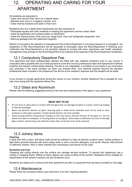# 12. OPERATING AND CARING FOR YOUR APARTMENT

All residents are expected to:

- Clean and vacuum their room on a regular basis;
- Maintain their room in a hygienic manner; and
- Clean internal windows and walls in their room

. Residents who live in Multi-share Apartments are also expected to:

- Participate equally with other residents in keeping the apartment common areas clean;
- Clean all appliances and surfaces within an Apartment;
- Clean the internal areas of the cook top, range hood, oven and refrigerator equipment; and
- Remove garbage from the Apartment regularly.

Where it is brought to the attention of management that a Room/Apartment is not being cleaned or is unhygienic, the resident(s) of that Room/Apartment will be requested to thoroughly clean the Room/Apartment. If following such notification the Room/Apartment is not promptly cleaned to comply with basic cleanliness and health standards, management may arrange for the Room/Apartment to be cleaned at the expense of the Room/Apartment resident(s).

### 12.1 Compulsory Departure Fee

Your apartment has been professionally cleaned and fitted with new mattress protectors prior to your arrival. A compulsory fee is payable with your initial payment to cover the cost of a professional clean and replacement mattress protector and shower curtain/carpet cleaning. This fee is non-negotiable. A condition of your lease is you must leave your premises in the same condition as when you entered them. Any cleaning required beyond the standard professional clean included in the Departure Fee will be at the resident's expense and the resident will be liable.

If you choose to change apartments during the course of your contract, another Departure Fee is payable for your new room along with the Apartment Move Fee.

#### 12.2 Glass and Aluminium

Please note the following suggested points for the care and maintenance of the glass in your apartment.

#### **WHAT NOT TO DO**

- Do not store or place items in contact with the glass (this can damage the glass or create a heat trap leading to thermal breakage).
- Never use abrasive cleaners on glass. Scouring pads or other harsh materials must not be used to clean windows or other glass products. Powder based cleaners are to be avoided.
- Avoid causing extreme temperature changes as this may lead to thermal fracture of the glass (i.e. Do not splash hot water on cold glass, or freezing water on hot glass). Some tapes or adhesives can stain or damage glass surfaces. Avoid using such materials unless they are known to be easily removed.

## 12.3 Joinery Items

#### **Cleaning**

A wipe over with a clean, soft damp cloth should be sufficient to keep all laminex surfaces clean. Soiled surfaces or light stains are best removed with warm soapy water or with a common detergent, such as Mr. Muscle, Nifty Solvent or bathroom cleaner. Wax or other polishes are unnecessary and should not be used.

#### **Scratches and Cuts**

Chopping and cutting directly onto the surface can damage laminex surfaces. To prevent this happening, use a cutting or chopping board. Sliding of heavy objects can cause scuffing of the surface. Residents will be charged for replacement of the surface if severe cuts and scratches occur.

Residents are asked not to remove from their apartment any item or equipment that has been provided by UniLodge.

#### 12.4 Maintenance

Please follow the procedure below upon discovery of an item requiring attention.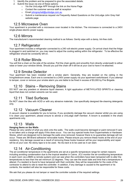- 1. Identify the problem and be prepared to give the associated details.
- 2. Submit the issue via one of these options:
	- o Via the UniLodge APP through the link on the Home Page
	- o Contact the customer service staff at reception
	- o Email [johngreyhall@unilodge.com.au](mailto:johngreyhall@unilodge.com.au)
	- o Submit a maintenance request via Frequently Asked Questions on the UniLodge John Grey Hall website page

#### 12.5 Microwave Oven

Your apartment is provided with a microwave oven located in the kitchen. The microwave is connected to a 240V single-phase electric power supply.

#### 12.6 Mirrors

The manufacturer's recommended cleaning method is as follows: Gently wipe with a damp, lint-free cloth.

#### 12.7 Refrigerator

Your apartment includes a refrigerator connected to a 240 volt electric power supply. On arrival check that the fridge is plugged in and switched on, you may need to adjust the cooling setting within the refrigerator. To be effective the refrigerator should be constantly left on.

#### 12.8 Roller Blinds

You will find a chain on the side of the window. Pull the chain gently and smoothly from directly underneath to either raise or lower your window blinds. Should you pull the chain off it will be at your cost to have it re-attached.

#### 12.9 Smoke Detector

Your apartment has been installed with a smoke alarm. Generally, they are located on the ceiling in the living/bedroom areas. Each one is connected to a 240V power supply via your apartment switchboard. If you attempt to tamper, cover or remove your smoke alarm you are liable to be fined in excess of \$3,000 by Fire Brigade.

#### 12.10 Stains – Removing Stains

DO NOT use any powders or abrasive liquid cleaners. A light application of METHYLATED SPIRITS or cleaning liquid that does not contain solvents can be used.

#### 12.11 Tiled Surfaces

Do NOT clean the tiles with ACID or with any abrasive materials. Use specifically designed tile-cleaning detergents only.

#### 12.12 Vacuum Cleaner

A vacuum cleaner is available for you to borrow. If you accidently damage the vacuum cleaner whilst you are using it to clean your apartment, please ensure to advise a UniLodge staff member. A broom is available in the share apartments only.

#### 12.13 Walls

#### **Hanging Items on the Walls**

Please be very careful of what you stick onto the walls. The walls could become damaged or paint removed if care is not taken and a charge will apply if this does occur. You can buy special hooks from Supermarkets or Hardware Stores, which are designed not to damage the walls once removed; however there is no guarantee damage will not occur. These are 3M Brand adhesive/ removable hooks. Please ensure you remove these hooks at the end of your residency. Any damage caused as a result of removing these hooks however will be your responsibility and repair will be at your cost. No sticky tape is to be used. No blu-tack is to be used as it can stain.

### 12.14 Air-Conditioning

The air-conditioner temperature in the apartments are set at a specific temperature range for certain reasons including avoiding condensation due to the tropical weather in Cairns. JCU monitor the air-conditioning temperature in each room via a BMS (a remote system) and can see when the controllers have been tampered with to alter the temperatures to less than the set minimum 22 degrees. They can see the exact date and time that a temperature is altered. If a resident is found to have tampered with their controller, they will be responsible for the costs of the contractor to attend to site to reset the controller. In addition, if any damage is caused to the apartment or its contents, the resident will also be responsible for these costs.

We ask that you please do not tamper or reset the controller outside of the required settings.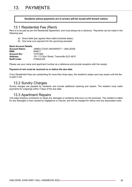# 13. PAYMENTS

#### **Residents whose payments are in arrears will be issued with breach notices**

#### 13.1 Residential Fee (Rent)

Rent is to be paid as per the Residential Agreement, and must always be in advance. Payments can be made in the following way:

- a) Direct debit (per agreed direct debit schedule dates)
- b) One lump sum payment for the upcoming semester

#### **Bank Account Details**

| <b>Account Name:</b> | JAMES COOK UNIVERSITY - UNILODGE          |
|----------------------|-------------------------------------------|
| <b>BSB:</b>          | 064817                                    |
| <b>Account No:</b>   | 10797480                                  |
| Address:             | 151-173 Sturt Street. Townsville QLD 4810 |
| <b>Swift Code:</b>   | CTBAAU2S                                  |

Please use your name and apartment number as a reference and provide reception with the receipt.

#### **Payment of rent must be received on or before the due date.**

If any Residential Fees are outstanding for more than three days, the resident's swipe card may expire until the fee is paid in full.

#### 13.2 Sundry Charges

Sundry charges are payable by residents and include additional cleaning and repairs. The resident must make payments for outgoings within 3 days of the due date.

#### 13.3 Apartment Repairs

UniLodge employs contractors to repair any damages or problems that occur on the premises. The resident is liable for any damages or loss caused by negligence or misuse, and will be charged for labour and any associated costs.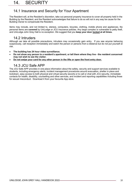## 14.1 Insurance and Security for Your Apartment

The Resident will, at the Resident's discretion, take out personal property insurance to cover all property held in the Building by the Resident, and the Resident acknowledges that failure to do so will not in any way be cause for the Building Owner to compensate the Resident.

Items may include, and not limited to, stereos, computers, bicycles, clothing, mobile phone and appliances. No personal items are **covered** by UniLodge or JCU insurance policies. Any large complex is vulnerable to petty theft, and UniLodge John Grey Hall is no exception. We suggest that you **keep your door locked at all times.**

#### 14.2 Intruders

Although we take all possible precautions, intruders may occasionally gain entry. If you see anyone behaving suspiciously, call reception immediately and watch the person or persons from a distance but do not put yourself at risk.

- **The building has 24 hour video surveillance.**
- **Do not show any person to a resident's apartment, or tell them where they live - the resident concerned may not wish to see the visitor.**
- **Do not swipe your card for any other person in the lifts or open the front entry door.**

#### 14.3 JCU Safe APP

The JCU Safe APP provides in one place information about the safety, security and support services available to students, including emergency alerts, incident management procedures around evacuation, shelter in place and lockdown, easy access to both physical and virtual security escorts or to call or chat with JCU security, immediate contacts for health, disability, counselling and other services, and incident and reporting capabilities including those for sexual misconduct. Download it from your favourite App store.